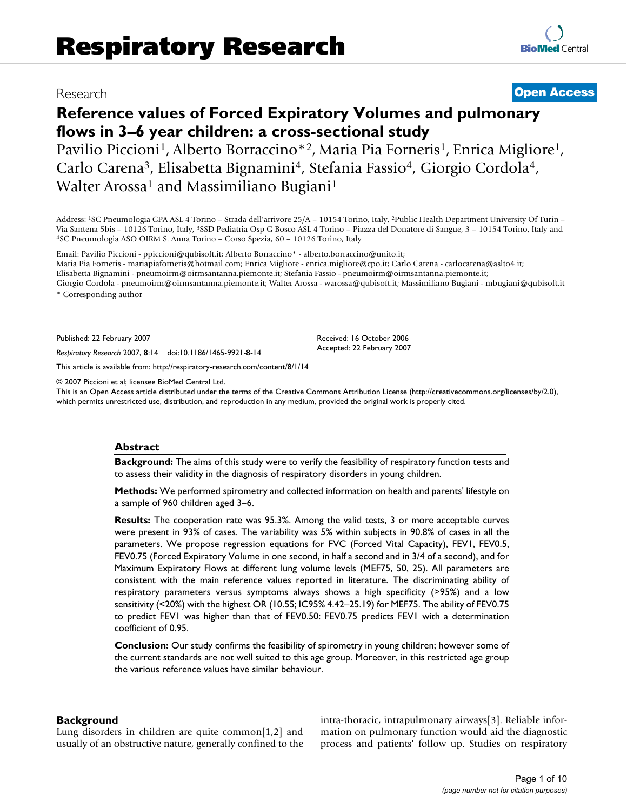# Research **[Open Access](http://www.biomedcentral.com/info/about/charter/)**

# **Reference values of Forced Expiratory Volumes and pulmonary flows in 3–6 year children: a cross-sectional study**

Pavilio Piccioni<sup>1</sup>, Alberto Borraccino<sup>\*2</sup>, Maria Pia Forneris<sup>1</sup>, Enrica Migliore<sup>1</sup>, Carlo Carena<sup>3</sup>, Elisabetta Bignamini<sup>4</sup>, Stefania Fassio<sup>4</sup>, Giorgio Cordola<sup>4</sup>, Walter Arossa<sup>1</sup> and Massimiliano Bugiani<sup>1</sup>

Address: 1SC Pneumologia CPA ASL 4 Torino – Strada dell'arrivore 25/A – 10154 Torino, Italy, 2Public Health Department University Of Turin – Via Santena 5bis – 10126 Torino, Italy, <sup>3</sup>SSD Pediatria Osp G Bosco ASL 4 Torino – Piazza del Donatore di Sangue, 3 – 10154 Torino, Italy and 4SC Pneumologia ASO OIRM S. Anna Torino – Corso Spezia, 60 – 10126 Torino, Ital

Email: Pavilio Piccioni - ppiccioni@qubisoft.it; Alberto Borraccino\* - alberto.borraccino@unito.it; Maria Pia Forneris - mariapiaforneris@hotmail.com; Enrica Migliore - enrica.migliore@cpo.it; Carlo Carena - carlocarena@aslto4.it; Elisabetta Bignamini - pneumoirm@oirmsantanna.piemonte.it; Stefania Fassio - pneumoirm@oirmsantanna.piemonte.it; Giorgio Cordola - pneumoirm@oirmsantanna.piemonte.it; Walter Arossa - warossa@qubisoft.it; Massimiliano Bugiani - mbugiani@qubisoft.it

> Received: 16 October 2006 Accepted: 22 February 2007

\* Corresponding author

Published: 22 February 2007

*Respiratory Research* 2007, **8**:14 doi:10.1186/1465-9921-8-14

[This article is available from: http://respiratory-research.com/content/8/1/14](http://respiratory-research.com/content/8/1/14)

© 2007 Piccioni et al; licensee BioMed Central Ltd.

This is an Open Access article distributed under the terms of the Creative Commons Attribution License [\(http://creativecommons.org/licenses/by/2.0\)](http://creativecommons.org/licenses/by/2.0), which permits unrestricted use, distribution, and reproduction in any medium, provided the original work is properly cited.

### **Abstract**

**Background:** The aims of this study were to verify the feasibility of respiratory function tests and to assess their validity in the diagnosis of respiratory disorders in young children.

**Methods:** We performed spirometry and collected information on health and parents' lifestyle on a sample of 960 children aged 3–6.

**Results:** The cooperation rate was 95.3%. Among the valid tests, 3 or more acceptable curves were present in 93% of cases. The variability was 5% within subjects in 90.8% of cases in all the parameters. We propose regression equations for FVC (Forced Vital Capacity), FEV1, FEV0.5, FEV0.75 (Forced Expiratory Volume in one second, in half a second and in 3/4 of a second), and for Maximum Expiratory Flows at different lung volume levels (MEF75, 50, 25). All parameters are consistent with the main reference values reported in literature. The discriminating ability of respiratory parameters versus symptoms always shows a high specificity (>95%) and a low sensitivity (<20%) with the highest OR (10.55; IC95% 4.42–25.19) for MEF75. The ability of FEV0.75 to predict FEV1 was higher than that of FEV0.50: FEV0.75 predicts FEV1 with a determination coefficient of 0.95.

**Conclusion:** Our study confirms the feasibility of spirometry in young children; however some of the current standards are not well suited to this age group. Moreover, in this restricted age group the various reference values have similar behaviour.

# **Background**

Lung disorders in children are quite common[1,2] and usually of an obstructive nature, generally confined to the

intra-thoracic, intrapulmonary airways[3]. Reliable information on pulmonary function would aid the diagnostic process and patients' follow up. Studies on respiratory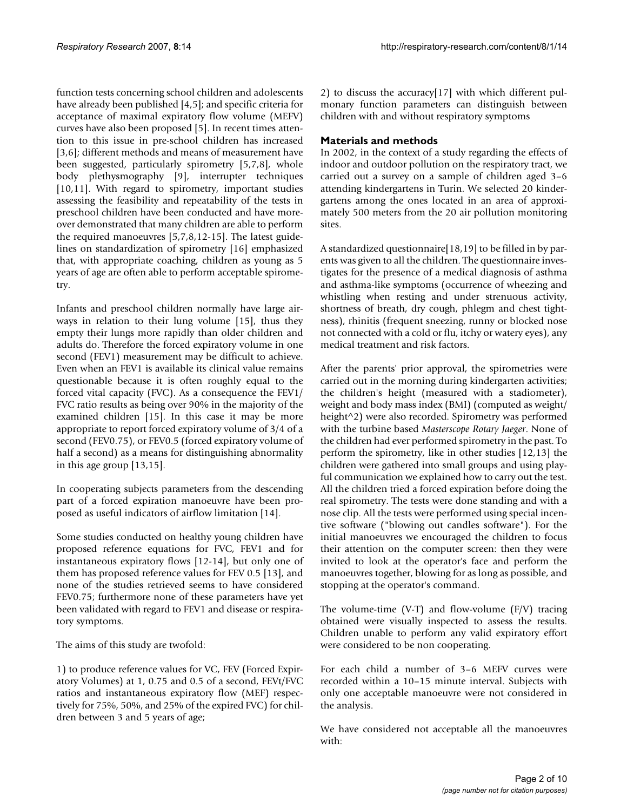function tests concerning school children and adolescents have already been published [4,5]; and specific criteria for acceptance of maximal expiratory flow volume (MEFV) curves have also been proposed [5]. In recent times attention to this issue in pre-school children has increased [3,6]; different methods and means of measurement have been suggested, particularly spirometry [5,7,8], whole body plethysmography [9], interrupter techniques [10,11]. With regard to spirometry, important studies assessing the feasibility and repeatability of the tests in preschool children have been conducted and have moreover demonstrated that many children are able to perform the required manoeuvres [5,7,8,12-15]. The latest guidelines on standardization of spirometry [16] emphasized that, with appropriate coaching, children as young as 5 years of age are often able to perform acceptable spirometry.

Infants and preschool children normally have large airways in relation to their lung volume [15], thus they empty their lungs more rapidly than older children and adults do. Therefore the forced expiratory volume in one second (FEV1) measurement may be difficult to achieve. Even when an FEV1 is available its clinical value remains questionable because it is often roughly equal to the forced vital capacity (FVC). As a consequence the FEV1/ FVC ratio results as being over 90% in the majority of the examined children [15]. In this case it may be more appropriate to report forced expiratory volume of 3/4 of a second (FEV0.75), or FEV0.5 (forced expiratory volume of half a second) as a means for distinguishing abnormality in this age group [13,15].

In cooperating subjects parameters from the descending part of a forced expiration manoeuvre have been proposed as useful indicators of airflow limitation [14].

Some studies conducted on healthy young children have proposed reference equations for FVC, FEV1 and for instantaneous expiratory flows [12-14], but only one of them has proposed reference values for FEV 0.5 [13], and none of the studies retrieved seems to have considered FEV0.75; furthermore none of these parameters have yet been validated with regard to FEV1 and disease or respiratory symptoms.

The aims of this study are twofold:

1) to produce reference values for VC, FEV (Forced Expiratory Volumes) at 1, 0.75 and 0.5 of a second, FEVt/FVC ratios and instantaneous expiratory flow (MEF) respectively for 75%, 50%, and 25% of the expired FVC) for children between 3 and 5 years of age;

2) to discuss the accuracy[17] with which different pulmonary function parameters can distinguish between children with and without respiratory symptoms

# **Materials and methods**

In 2002, in the context of a study regarding the effects of indoor and outdoor pollution on the respiratory tract, we carried out a survey on a sample of children aged 3–6 attending kindergartens in Turin. We selected 20 kindergartens among the ones located in an area of approximately 500 meters from the 20 air pollution monitoring sites.

A standardized questionnaire[18,19] to be filled in by parents was given to all the children. The questionnaire investigates for the presence of a medical diagnosis of asthma and asthma-like symptoms (occurrence of wheezing and whistling when resting and under strenuous activity, shortness of breath, dry cough, phlegm and chest tightness), rhinitis (frequent sneezing, runny or blocked nose not connected with a cold or flu, itchy or watery eyes), any medical treatment and risk factors.

After the parents' prior approval, the spirometries were carried out in the morning during kindergarten activities; the children's height (measured with a stadiometer), weight and body mass index (BMI) (computed as weight/ height^2) were also recorded. Spirometry was performed with the turbine based *Masterscope Rotary Jaeger*. None of the children had ever performed spirometry in the past. To perform the spirometry, like in other studies [12,13] the children were gathered into small groups and using playful communication we explained how to carry out the test. All the children tried a forced expiration before doing the real spirometry. The tests were done standing and with a nose clip. All the tests were performed using special incentive software ("blowing out candles software"). For the initial manoeuvres we encouraged the children to focus their attention on the computer screen: then they were invited to look at the operator's face and perform the manoeuvres together, blowing for as long as possible, and stopping at the operator's command.

The volume-time (V-T) and flow-volume  $(F/V)$  tracing obtained were visually inspected to assess the results. Children unable to perform any valid expiratory effort were considered to be non cooperating.

For each child a number of 3–6 MEFV curves were recorded within a 10–15 minute interval. Subjects with only one acceptable manoeuvre were not considered in the analysis.

We have considered not acceptable all the manoeuvres with: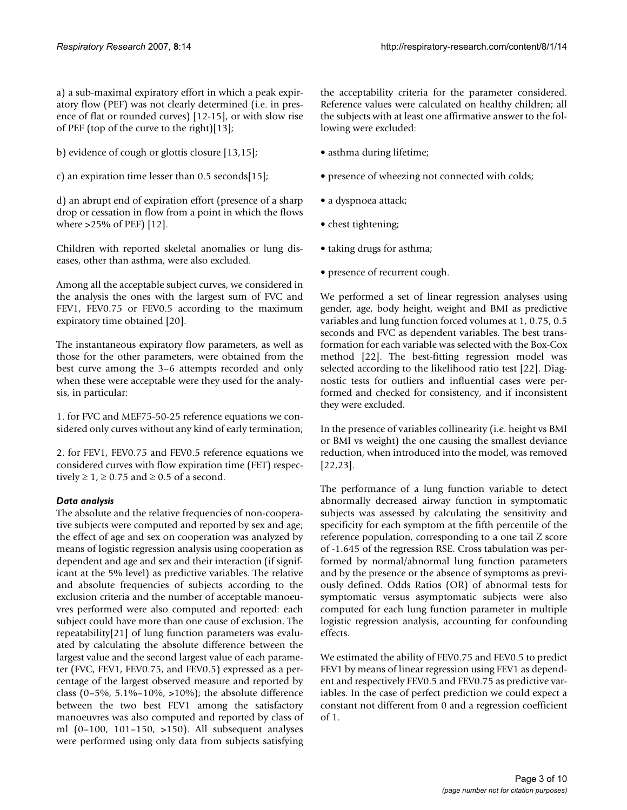a) a sub-maximal expiratory effort in which a peak expiratory flow (PEF) was not clearly determined (i.e. in presence of flat or rounded curves) [12-15], or with slow rise of PEF (top of the curve to the right)[13];

b) evidence of cough or glottis closure [13,15];

c) an expiration time lesser than 0.5 seconds[15];

d) an abrupt end of expiration effort (presence of a sharp drop or cessation in flow from a point in which the flows where >25% of PEF) [12].

Children with reported skeletal anomalies or lung diseases, other than asthma, were also excluded.

Among all the acceptable subject curves, we considered in the analysis the ones with the largest sum of FVC and FEV1, FEV0.75 or FEV0.5 according to the maximum expiratory time obtained [\[20](#page-9-0)].

The instantaneous expiratory flow parameters, as well as those for the other parameters, were obtained from the best curve among the 3–6 attempts recorded and only when these were acceptable were they used for the analysis, in particular:

1. for FVC and MEF75-50-25 reference equations we considered only curves without any kind of early termination;

2. for FEV1, FEV0.75 and FEV0.5 reference equations we considered curves with flow expiration time (FET) respectively  $\geq 1$ ,  $\geq 0.75$  and  $\geq 0.5$  of a second.

# *Data analysis*

The absolute and the relative frequencies of non-cooperative subjects were computed and reported by sex and age; the effect of age and sex on cooperation was analyzed by means of logistic regression analysis using cooperation as dependent and age and sex and their interaction (if significant at the 5% level) as predictive variables. The relative and absolute frequencies of subjects according to the exclusion criteria and the number of acceptable manoeuvres performed were also computed and reported: each subject could have more than one cause of exclusion. The repeatability[21] of lung function parameters was evaluated by calculating the absolute difference between the largest value and the second largest value of each parameter (FVC, FEV1, FEV0.75, and FEV0.5) expressed as a percentage of the largest observed measure and reported by class (0–5%, 5.1%–10%, >10%); the absolute difference between the two best FEV1 among the satisfactory manoeuvres was also computed and reported by class of ml (0–100, 101–150, >150). All subsequent analyses were performed using only data from subjects satisfying the acceptability criteria for the parameter considered. Reference values were calculated on healthy children; all the subjects with at least one affirmative answer to the following were excluded:

- asthma during lifetime;
- presence of wheezing not connected with colds;
- a dyspnoea attack;
- chest tightening;
- taking drugs for asthma;
- presence of recurrent cough.

We performed a set of linear regression analyses using gender, age, body height, weight and BMI as predictive variables and lung function forced volumes at 1, 0.75, 0.5 seconds and FVC as dependent variables. The best transformation for each variable was selected with the Box-Cox method [22]. The best-fitting regression model was selected according to the likelihood ratio test [22]. Diagnostic tests for outliers and influential cases were performed and checked for consistency, and if inconsistent they were excluded.

In the presence of variables collinearity (i.e. height vs BMI or BMI vs weight) the one causing the smallest deviance reduction, when introduced into the model, was removed [22,23].

The performance of a lung function variable to detect abnormally decreased airway function in symptomatic subjects was assessed by calculating the sensitivity and specificity for each symptom at the fifth percentile of the reference population, corresponding to a one tail Z score of -1.645 of the regression RSE. Cross tabulation was performed by normal/abnormal lung function parameters and by the presence or the absence of symptoms as previously defined. Odds Ratios (OR) of abnormal tests for symptomatic versus asymptomatic subjects were also computed for each lung function parameter in multiple logistic regression analysis, accounting for confounding effects.

We estimated the ability of FEV0.75 and FEV0.5 to predict FEV1 by means of linear regression using FEV1 as dependent and respectively FEV0.5 and FEV0.75 as predictive variables. In the case of perfect prediction we could expect a constant not different from 0 and a regression coefficient of 1.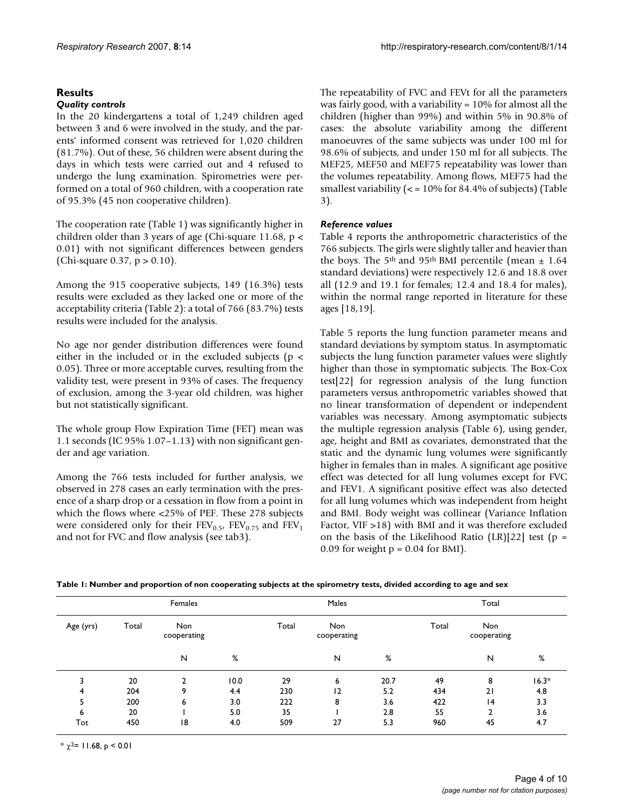# **Results**

## *Quality controls*

In the 20 kindergartens a total of 1,249 children aged between 3 and 6 were involved in the study, and the parents' informed consent was retrieved for 1,020 children (81.7%). Out of these, 56 children were absent during the days in which tests were carried out and 4 refused to undergo the lung examination. Spirometries were performed on a total of 960 children, with a cooperation rate of 95.3% (45 non cooperative children).

The cooperation rate (Table 1) was significantly higher in children older than 3 years of age (Chi-square 11.68, p < 0.01) with not significant differences between genders (Chi-square 0.37, p > 0.10).

Among the 915 cooperative subjects, 149 (16.3%) tests results were excluded as they lacked one or more of the acceptability criteria (Table 2): a total of 766 (83.7%) tests results were included for the analysis.

No age nor gender distribution differences were found either in the included or in the excluded subjects ( $p <$ 0.05). Three or more acceptable curves, resulting from the validity test, were present in 93% of cases. The frequency of exclusion, among the 3-year old children, was higher but not statistically significant.

The whole group Flow Expiration Time (FET) mean was 1.1 seconds (IC 95% 1.07–1.13) with non significant gender and age variation.

Among the 766 tests included for further analysis, we observed in 278 cases an early termination with the presence of a sharp drop or a cessation in flow from a point in which the flows where <25% of PEF. These 278 subjects were considered only for their  $FEV_{0.5}$ ,  $FEV_{0.75}$  and  $FEV_1$ and not for FVC and flow analysis (see tab3).

The repeatability of FVC and FEVt for all the parameters was fairly good, with a variability = 10% for almost all the children (higher than 99%) and within 5% in 90.8% of cases: the absolute variability among the different manoeuvres of the same subjects was under 100 ml for 98.6% of subjects, and under 150 ml for all subjects. The MEF25, MEF50 and MEF75 repeatability was lower than the volumes repeatability. Among flows, MEF75 had the smallest variability (< = 10% for 84.4% of subjects) (Table 3).

# *Reference values*

Table 4 reports the anthropometric characteristics of the 766 subjects. The girls were slightly taller and heavier than the boys. The 5<sup>th</sup> and 95<sup>th</sup> BMI percentile (mean  $\pm$  1.64 standard deviations) were respectively 12.6 and 18.8 over all (12.9 and 19.1 for females; 12.4 and 18.4 for males), within the normal range reported in literature for these ages [18,19].

Table 5 reports the lung function parameter means and standard deviations by symptom status. In asymptomatic subjects the lung function parameter values were slightly higher than those in symptomatic subjects. The Box-Cox test[22] for regression analysis of the lung function parameters versus anthropometric variables showed that no linear transformation of dependent or independent variables was necessary. Among asymptomatic subjects the multiple regression analysis (Table 6), using gender, age, height and BMI as covariates, demonstrated that the static and the dynamic lung volumes were significantly higher in females than in males. A significant age positive effect was detected for all lung volumes except for FVC and FEV1. A significant positive effect was also detected for all lung volumes which was independent from height and BMI. Body weight was collinear (Variance Inflation Factor, VIF >18) with BMI and it was therefore excluded on the basis of the Likelihood Ratio (LR)[22] test (p = 0.09 for weight  $p = 0.04$  for BMI).

|  |  | Table 1: Number and proportion of non cooperating subjects at the spirometry tests, divided according to age and sex |  |
|--|--|----------------------------------------------------------------------------------------------------------------------|--|
|  |  |                                                                                                                      |  |

|           | Females |                    |      | Males |                    |      | Total |                    |         |
|-----------|---------|--------------------|------|-------|--------------------|------|-------|--------------------|---------|
| Age (yrs) | Total   | Non<br>cooperating |      | Total | Non<br>cooperating |      | Total | Non<br>cooperating |         |
|           |         | N                  | %    |       | N                  | %    |       | N                  | %       |
| 3         | 20      | າ                  | 10.0 | 29    | 6                  | 20.7 | 49    | 8                  | $16.3*$ |
| 4         | 204     | 9                  | 4.4  | 230   | $\overline{2}$     | 5.2  | 434   | 21                 | 4.8     |
| 5         | 200     | 6                  | 3.0  | 222   | 8                  | 3.6  | 422   | 4                  | 3.3     |
| 6         | 20      |                    | 5.0  | 35    |                    | 2.8  | 55    | 2                  | 3.6     |
| Tot       | 450     | 18                 | 4.0  | 509   | 27                 | 5.3  | 960   | 45                 | 4.7     |

 $*$  χ<sup>2</sup>= 11.68, p < 0.01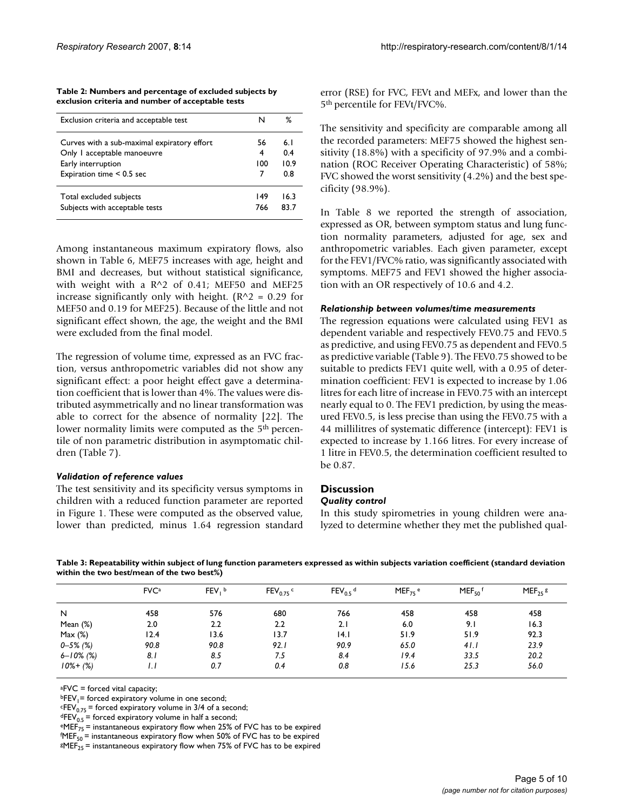| Table 2: Numbers and percentage of excluded subjects by |  |
|---------------------------------------------------------|--|
| exclusion criteria and number of acceptable tests       |  |

| Exclusion criteria and acceptable test      | N   | ℅    |
|---------------------------------------------|-----|------|
| Curves with a sub-maximal expiratory effort | 56  | 6.1  |
| Only I acceptable manoeuvre                 | 4   | 0.4  |
| Early interruption                          | 100 | 10.9 |
| Expiration time < 0.5 sec                   | 7   | 0.8  |
| Total excluded subjects                     | 149 | 16.3 |
| Subjects with acceptable tests              | 766 | 83.7 |

Among instantaneous maximum expiratory flows, also shown in Table 6, MEF75 increases with age, height and BMI and decreases, but without statistical significance, with weight with a  $R^2$  of 0.41; MEF50 and MEF25 increase significantly only with height.  $(R^2 = 0.29$  for MEF50 and 0.19 for MEF25). Because of the little and not significant effect shown, the age, the weight and the BMI were excluded from the final model.

The regression of volume time, expressed as an FVC fraction, versus anthropometric variables did not show any significant effect: a poor height effect gave a determination coefficient that is lower than 4%. The values were distributed asymmetrically and no linear transformation was able to correct for the absence of normality [22]. The lower normality limits were computed as the 5<sup>th</sup> percentile of non parametric distribution in asymptomatic children (Table 7).

#### *Validation of reference values*

The test sensitivity and its specificity versus symptoms in children with a reduced function parameter are reported in Figure 1. These were computed as the observed value, lower than predicted, minus 1.64 regression standard error (RSE) for FVC, FEVt and MEFx, and lower than the 5th percentile for FEVt/FVC%.

The sensitivity and specificity are comparable among all the recorded parameters: MEF75 showed the highest sensitivity (18.8%) with a specificity of 97.9% and a combination (ROC Receiver Operating Characteristic) of 58%; FVC showed the worst sensitivity (4.2%) and the best specificity (98.9%).

In Table 8 we reported the strength of association, expressed as OR, between symptom status and lung function normality parameters, adjusted for age, sex and anthropometric variables. Each given parameter, except for the FEV1/FVC% ratio, was significantly associated with symptoms. MEF75 and FEV1 showed the higher association with an OR respectively of 10.6 and 4.2.

#### *Relationship between volumes/time measurements*

The regression equations were calculated using FEV1 as dependent variable and respectively FEV0.75 and FEV0.5 as predictive, and using FEV0.75 as dependent and FEV0.5 as predictive variable (Table 9). The FEV0.75 showed to be suitable to predicts FEV1 quite well, with a 0.95 of determination coefficient: FEV1 is expected to increase by 1.06 litres for each litre of increase in FEV0.75 with an intercept nearly equal to 0. The FEV1 prediction, by using the measured FEV0.5, is less precise than using the FEV0.75 with a 44 millilitres of systematic difference (intercept): FEV1 is expected to increase by 1.166 litres. For every increase of 1 litre in FEV0.5, the determination coefficient resulted to be 0.87.

# **Discussion**

#### *Quality control*

In this study spirometries in young children were analyzed to determine whether they met the published qual-

**Table 3: Repeatability within subject of lung function parameters expressed as within subjects variation coefficient (standard deviation within the two best/mean of the two best%)**

|                | <b>FVCa</b> | FEV, b | $FEV_{0.75}$ c | $FEV_{0.5}$ <sup>d</sup> | $MEF_{75}$ <sup>e</sup> | $MEF_{50}$ f | $MEF_{25}$ g |
|----------------|-------------|--------|----------------|--------------------------|-------------------------|--------------|--------------|
| N              | 458         | 576    | 680            | 766                      | 458                     | 458          | 458          |
| Mean (%)       | 2.0         | 2.2    | 2.2            | 2.1                      | 6.0                     | 9.1          | 16.3         |
| Max(%)         | 12.4        | 13.6   | 13.7           | 14.1                     | 51.9                    | 51.9         | 92.3         |
| $0 - 5\%$ (%)  | 90.8        | 90.8   | 92.1           | 90.9                     | 65.0                    | 41.1         | 23.9         |
| $6 - 10\%$ (%) | 8. I        | 8.5    | 7.5            | 8.4                      | 19.4                    | 33.5         | 20.2         |
| $10% + (*)$    | 1.1         | 0.7    | 0.4            | 0.8                      | 15.6                    | 25.3         | 56.0         |

aFVC = forced vital capacity;

**bFEV**<sub>1</sub>= forced expiratory volume in one second;<br>
"FEV<sub>0.75</sub> = forced expiratory volume in 3/4 of a second;<br>  ${}^d$ FEV<sub>0.5</sub> = forced expiratory volume in half a second;<br>
"MEF<sub>75</sub> = instantaneous expiratory flow when 25%

 $MEF_{25}$  = instantaneous expiratory flow when 75% of FVC has to be expired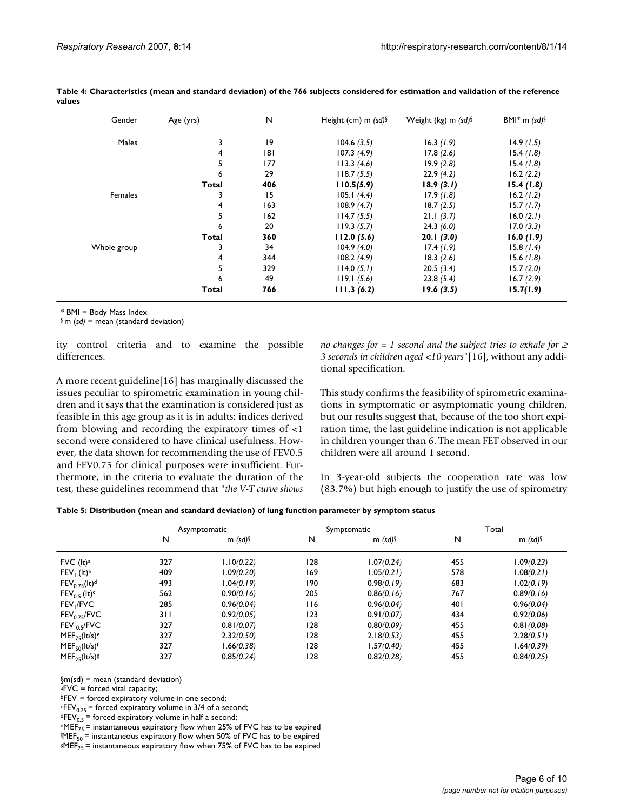| Gender      | Age (yrs)    | N   | Height (cm) m $(sd)$ <sup>§</sup> | Weight (kg) m $(sd)$ § | BMI* m $(sd)$ § |
|-------------|--------------|-----|-----------------------------------|------------------------|-----------------|
| Males       | 3            | 19  | 104.6(3.5)                        | 16.3(1.9)              | 14.9(1.5)       |
|             | 4            | 181 | 107.3(4.9)                        | 17.8(2.6)              | 15.4(1.8)       |
|             | 5            | 177 | 113.3(4.6)                        | 19.9(2.8)              | 15.4(1.8)       |
|             | 6            | 29  | 118.7(5.5)                        | 22.9(4.2)              | 16.2(2.2)       |
|             | <b>Total</b> | 406 | 110.5(5.9)                        | 18.9(3.1)              | 15.4(1.8)       |
| Females     | 3            | 15  | 105.1(4.4)                        | 17.9(1.8)              | 16.2(1.2)       |
|             | 4            | 163 | 108.9(4.7)                        | 18.7(2.5)              | 15.7(1.7)       |
|             | 5            | 162 | 114.7(5.5)                        | 21.1(3.7)              | 16.0(2.1)       |
|             | 6            | 20  | 119.3(5.7)                        | 24.3(6.0)              | 17.0(3.3)       |
|             | Total        | 360 | 112.0(5.6)                        | 20.1(3.0)              | 16.0(1.9)       |
| Whole group | 3            | 34  | 104.9(4.0)                        | 17.4(1.9)              | 15.8(1.4)       |
|             | 4            | 344 | 108.2(4.9)                        | 18.3(2.6)              | 15.6(1.8)       |
|             | 5            | 329 | 114.0(5.1)                        | 20.5(3.4)              | 15.7(2.0)       |
|             | 6            | 49  | 119.1(5.6)                        | 23.8(5.4)              | 16.7(2.9)       |
|             | Total        | 766 | 111.3(6.2)                        | 19.6(3.5)              | 15.7(1.9)       |

**Table 4: Characteristics (mean and standard deviation) of the 766 subjects considered for estimation and validation of the reference values**

\* BMI = Body Mass Index

§ m (*sd)* = mean (standard deviation)

ity control criteria and to examine the possible differences.

A more recent guideline[16] has marginally discussed the issues peculiar to spirometric examination in young children and it says that the examination is considered just as feasible in this age group as it is in adults; indices derived from blowing and recording the expiratory times of <1 second were considered to have clinical usefulness. However, the data shown for recommending the use of FEV0.5 and FEV0.75 for clinical purposes were insufficient. Furthermore, in the criteria to evaluate the duration of the test, these guidelines recommend that "*the V-T curve shows* *no changes for = 1 second and the subject tries to exhale for*  $\geq$ *3 seconds in children aged <10 years*"[16], without any additional specification.

This study confirms the feasibility of spirometric examinations in symptomatic or asymptomatic young children, but our results suggest that, because of the too short expiration time, the last guideline indication is not applicable in children younger than 6. The mean FET observed in our children were all around 1 second.

In 3-year-old subjects the cooperation rate was low (83.7%) but high enough to justify the use of spirometry

|                                 | Asymptomatic |            |     | Symptomatic |     | Total      |  |
|---------------------------------|--------------|------------|-----|-------------|-----|------------|--|
|                                 | N            | m $(sd)$ § | N   | m $(sd)$    | N   | m $(sd)$   |  |
| $FVC$ ( $ t ^a$                 | 327          | 1.10(0.22) | 128 | 1.07(0.24)  | 455 | 1.09(0.23) |  |
| $FEV_1$ (lt) <sup>b</sup>       | 409          | 1.09(0.20) | 169 | 1.05(0.21)  | 578 | 1.08(0.21) |  |
| $FEV_{0.75}$ (lt) <sup>d</sup>  | 493          | 1.04(0.19) | 190 | 0.98(0.19)  | 683 | 1.02(0.19) |  |
| $FEV_{0.5}$ (lt) <sup>c</sup>   | 562          | 0.90(0.16) | 205 | 0.86(0.16)  | 767 | 0.89(0.16) |  |
| FEV <sub>1</sub> /FVC           | 285          | 0.96(0.04) | 116 | 0.96(0.04)  | 401 | 0.96(0.04) |  |
| $FEV_{0.75}$ /FVC               | 311          | 0.92(0.05) | 123 | 0.91(0.07)  | 434 | 0.92(0.06) |  |
| $FEV_{0.5}/FVC$                 | 327          | 0.81(0.07) | 128 | 0.80(0.09)  | 455 | 0.81(0.08) |  |
| $MEF_{75}$ (lt/s) <sup>e</sup>  | 327          | 2.32(0.50) | 128 | 2.18(0.53)  | 455 | 2.28(0.51) |  |
| $MEF_{50}$ (lt/s) <sup>f</sup>  | 327          | 1.66(0.38) | 128 | 1.57(0.40)  | 455 | 1.64(0.39) |  |
| $MEF_{25}$ (lt/s) $\frac{8}{3}$ | 327          | 0.85(0.24) | 128 | 0.82(0.28)  | 455 | 0.84(0.25) |  |

 $§m(sd) = mean (standard deviation)$ 

 $aFVC$  = forced vital capacity;

**bFEV**<sub>1</sub>= forced expiratory volume in one second;<br>
"FEV<sub>0.75</sub> = forced expiratory volume in 3/4 of a second;<br>  ${}^d$ FEV<sub>0.5</sub> = forced expiratory volume in half a second;<br>
"MEF<sub>75</sub> = instantaneous expiratory flow when 25%

 $MEF_{25}$  = instantaneous expiratory flow when 75% of FVC has to be expired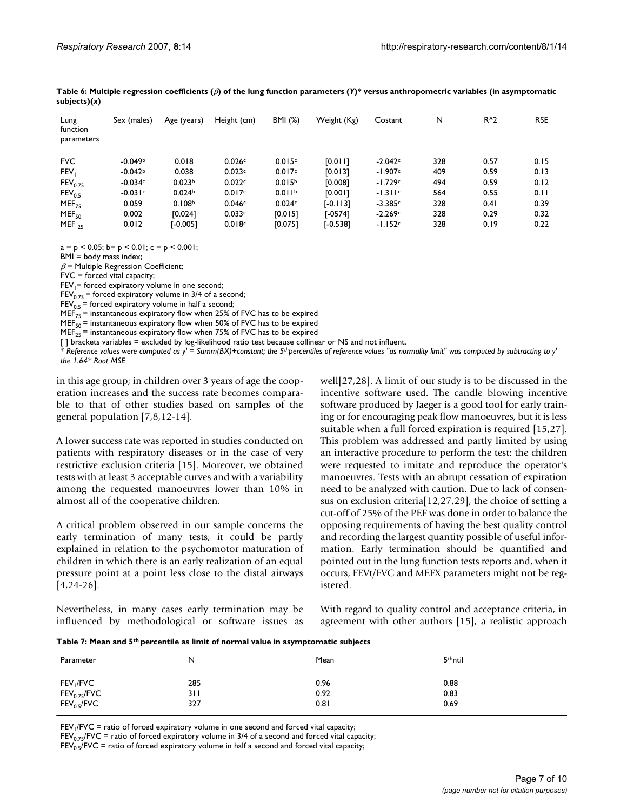| Lung<br>function<br>parameters | Sex (males) | Age (years)        | Height (cm) | <b>BMI</b> (%)     | Weight (Kg) | Costant            | N   | $R^2$ | <b>RSE</b> |
|--------------------------------|-------------|--------------------|-------------|--------------------|-------------|--------------------|-----|-------|------------|
| <b>FVC</b>                     | $-0.049b$   | 0.018              | 0.026c      | 0.015c             | [0.011]     | $-2.042c$          | 328 | 0.57  | 0.15       |
| FEV,                           | $-0.042b$   | 0.038              | 0.023c      | 0.017c             | [0.013]     | $-1.907c$          | 409 | 0.59  | 0.13       |
| $FEV_{0.75}$                   | $-0.034c$   | 0.023 <sup>b</sup> | 0.022c      | 0.015 <sup>b</sup> | [0.008]     | $-1.729c$          | 494 | 0.59  | 0.12       |
| $FEV_{0.5}$                    | $-0.031c$   | 0.024 <sup>b</sup> | 0.017c      | 0.011 <sup>b</sup> | [0.001]     | $-1.3$     $\circ$ | 564 | 0.55  | 0.11       |
| $MEF_{75}$                     | 0.059       | 0.108 <sup>b</sup> | 0.046c      | 0.024c             | $[-0.113]$  | $-3.385c$          | 328 | 0.41  | 0.39       |
| $MEF_{50}$                     | 0.002       | [0.024]            | 0.033c      | [0.015]            | [-0574]     | $-2.269c$          | 328 | 0.29  | 0.32       |
| MEF $_{25}$                    | 0.012       | $[-0.005]$         | 0.018c      | [0.075]            | $[-0.538]$  | $-1.152c$          | 328 | 0.19  | 0.22       |

**Table 6: Multiple regression coefficients (**β**) of the lung function parameters (***Y***)\* versus anthropometric variables (in asymptomatic subjects)(***x***)**

 $a = p < 0.05$ ; b=  $p < 0.01$ ; c =  $p < 0.001$ ;

BMI = body mass index;

 $\beta$  = Multiple Regression Coefficient;

FVC = forced vital capacity;

 $FEV_1$ = forced expiratory volume in one second;

FEV<sub>0.75</sub> = forced expiratory volume in 3/4 of a second;

 $FEV_{0.5}$  = forced expiratory volume in half a second;

MEF<sub>75</sub> = instantaneous expiratory flow when 25% of FVC has to be expired

 $MEF_{50}$  = instantaneous expiratory flow when 50% of FVC has to be expired

 $MEF_{25}$  = instantaneous expiratory flow when 75% of FVC has to be expired

[ ] brackets variables = excluded by log-likelihood ratio test because collinear or NS and not influent.

\* *Reference values were computed as y' = Summ(BX)+constant; the 5thpercentiles of reference values "as normality limit" was computed by subtracting to y' the 1.64\* Root MSE*

in this age group; in children over 3 years of age the cooperation increases and the success rate becomes comparable to that of other studies based on samples of the general population [7,8,12-14].

A lower success rate was reported in studies conducted on patients with respiratory diseases or in the case of very restrictive exclusion criteria [15]. Moreover, we obtained tests with at least 3 acceptable curves and with a variability among the requested manoeuvres lower than 10% in almost all of the cooperative children.

A critical problem observed in our sample concerns the early termination of many tests; it could be partly explained in relation to the psychomotor maturation of children in which there is an early realization of an equal pressure point at a point less close to the distal airways [4,24-26].

Nevertheless, in many cases early termination may be influenced by methodological or software issues as well[27,28]. A limit of our study is to be discussed in the incentive software used. The candle blowing incentive software produced by Jaeger is a good tool for early training or for encouraging peak flow manoeuvres, but it is less suitable when a full forced expiration is required [15,27]. This problem was addressed and partly limited by using an interactive procedure to perform the test: the children were requested to imitate and reproduce the operator's manoeuvres. Tests with an abrupt cessation of expiration need to be analyzed with caution. Due to lack of consensus on exclusion criteria[12,27,29], the choice of setting a cut-off of 25% of the PEF was done in order to balance the opposing requirements of having the best quality control and recording the largest quantity possible of useful information. Early termination should be quantified and pointed out in the lung function tests reports and, when it occurs, FEVt/FVC and MEFX parameters might not be registered.

With regard to quality control and acceptance criteria, in agreement with other authors [15], a realistic approach

**Table 7: Mean and 5th percentile as limit of normal value in asymptomatic subjects**

| Parameter                                                           | N            | Mean         | 5 <sup>th</sup> ntil |
|---------------------------------------------------------------------|--------------|--------------|----------------------|
| $\mathsf{FEV}_1\mathsf{/FVC}$<br>$\mathsf{FEV}_{0.75}/\mathsf{FVC}$ | 285<br>3 I I | 0.96<br>0.92 | 0.88<br>0.83         |
| $\mathsf{FEV}_{0.5}/\mathsf{FVC}$                                   | 327          | 0.81         | 0.69                 |

 $FEV<sub>1</sub>/FVC$  = ratio of forced expiratory volume in one second and forced vital capacity;

FEV<sub>0.75</sub>/FVC = ratio of forced expiratory volume in 3/4 of a second and forced vital capacity;

FEV<sub>0.5</sub>/FVC = ratio of forced expiratory volume in half a second and forced vital capacity;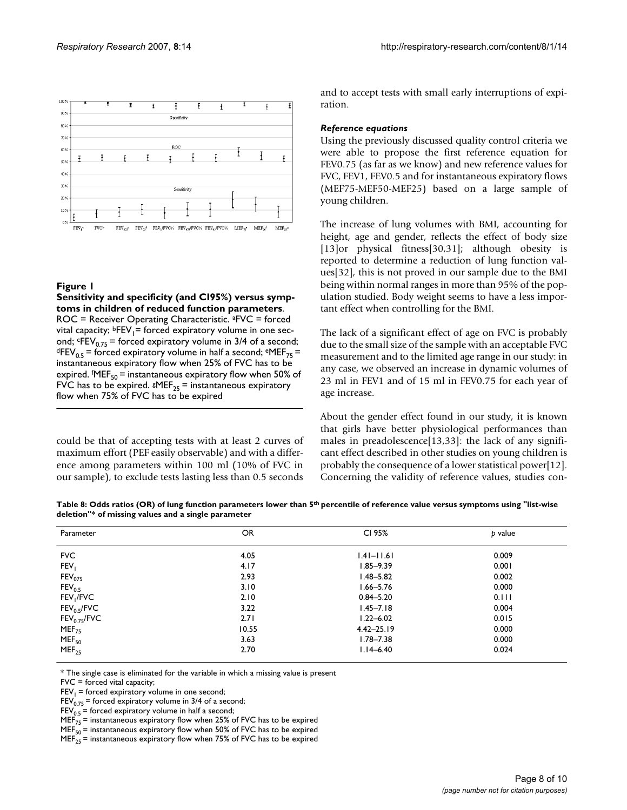

#### **Figure 1**

**Sensitivity and specificity (and CI95%) versus symptoms in children of reduced function parameters**. ROC = Receiver Operating Characteristic. aFVC = forced vital capacity;  $bFEV_1$ = forced expiratory volume in one second;  $FEV_{0.75}$  = forced expiratory volume in 3/4 of a second;  $\text{dFEV}_{0.5}$  = forced expiratory volume in half a second;  $\text{eMEF}_{75}$  = instantaneous expiratory flow when 25% of FVC has to be expired. 'MEF<sub>50</sub> = instantaneous expiratory flow when 50% of FVC has to be expired.  $8MEF_{25}$  = instantaneous expiratory flow when 75% of FVC has to be expired

could be that of accepting tests with at least 2 curves of maximum effort (PEF easily observable) and with a difference among parameters within 100 ml (10% of FVC in our sample), to exclude tests lasting less than 0.5 seconds and to accept tests with small early interruptions of expiration.

#### *Reference equations*

Using the previously discussed quality control criteria we were able to propose the first reference equation for FEV0.75 (as far as we know) and new reference values for FVC, FEV1, FEV0.5 and for instantaneous expiratory flows (MEF75-MEF50-MEF25) based on a large sample of young children.

The increase of lung volumes with BMI, accounting for height, age and gender, reflects the effect of body size [13]or physical fitness[30,[31\]](#page-9-1); although obesity is reported to determine a reduction of lung function values[32], this is not proved in our sample due to the BMI being within normal ranges in more than 95% of the population studied. Body weight seems to have a less important effect when controlling for the BMI.

The lack of a significant effect of age on FVC is probably due to the small size of the sample with an acceptable FVC measurement and to the limited age range in our study: in any case, we observed an increase in dynamic volumes of 23 ml in FEV1 and of 15 ml in FEV0.75 for each year of age increase.

About the gender effect found in our study, it is known that girls have better physiological performances than males in preadolescence[13,33]: the lack of any significant effect described in other studies on young children is probably the consequence of a lower statistical power[12]. Concerning the validity of reference values, studies con-

**Table 8: Odds ratios (OR) of lung function parameters lower than 5th percentile of reference value versus symptoms using "list-wise deletion"\* of missing values and a single parameter**

| Parameter                          | OR    | CI 95%         | p value |
|------------------------------------|-------|----------------|---------|
|                                    |       |                |         |
|                                    |       |                |         |
| <b>FVC</b>                         | 4.05  | $1.41 - 11.61$ | 0.009   |
| FEV,                               | 4.17  | $1.85 - 9.39$  | 0.001   |
| FEV <sub>075</sub>                 | 2.93  | $1.48 - 5.82$  | 0.002   |
| $FEV_{0.5}$                        | 3.10  | $1.66 - 5.76$  | 0.000   |
| FEV <sub>1</sub> /FVC              | 2.10  | $0.84 - 5.20$  | 0.111   |
| $\mathsf{FEV}_{0.5}/\mathsf{FVC}$  | 3.22  | $1.45 - 7.18$  | 0.004   |
| $\mathsf{FEV}_{0.75}/\mathsf{FVC}$ | 2.71  | $1.22 - 6.02$  | 0.015   |
| MEF <sub>75</sub>                  | 10.55 | $4.42 - 25.19$ | 0.000   |
| $MEF_{50}$                         | 3.63  | $1.78 - 7.38$  | 0.000   |
| MEF <sub>25</sub>                  | 2.70  | $1.14 - 6.40$  | 0.024   |

\* The single case is eliminated for the variable in which a missing value is present

FVC = forced vital capacity;

 $FEV<sub>1</sub>$  = forced expiratory volume in one second;

 $FEV_{0.75}$  = forced expiratory volume in 3/4 of a second;

 $FEV_{0.5}$  = forced expiratory volume in half a second;

 $MEF_{75}$  = instantaneous expiratory flow when 25% of FVC has to be expired

 $MEF_{50}$  = instantaneous expiratory flow when 50% of FVC has to be expired

 $MEF_{25}$  = instantaneous expiratory flow when 75% of FVC has to be expired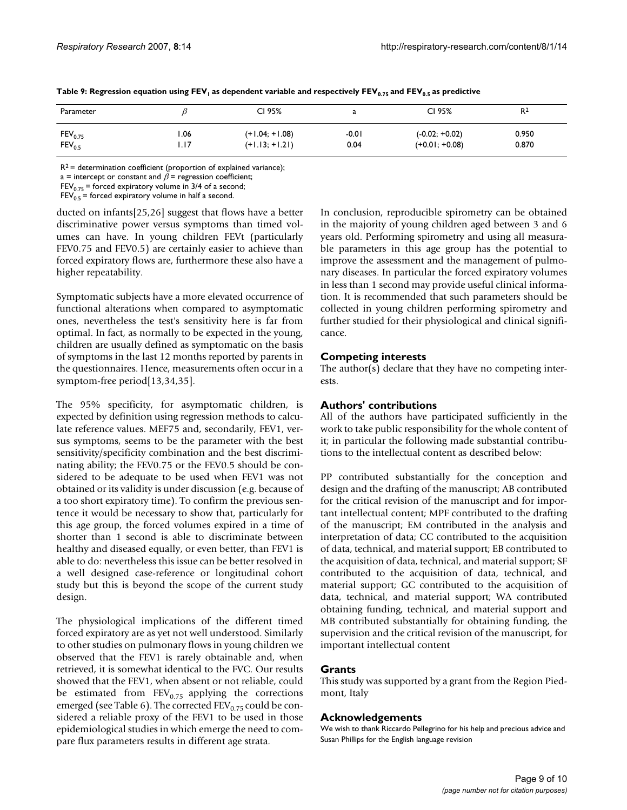| Parameter           |       | CI 95%           | a       | CI 95%           | R <sup>2</sup> |  |
|---------------------|-------|------------------|---------|------------------|----------------|--|
| FEV <sub>0.75</sub> | 06. ا | $(+1.04; +1.08)$ | $-0.01$ | $(-0.02; +0.02)$ | 0.950          |  |
| $FEV_{0.5}$         | ī.I7  | $(+1.13; +1.21)$ | 0.04    | $(+0.01; +0.08)$ | 0.870          |  |

| Table 9: Regression equation using FEV <sub>।</sub> as dependent variable and respectively FEV <sub>0.75</sub> and FEV <sub>0.5</sub> as predictive |  |
|-----------------------------------------------------------------------------------------------------------------------------------------------------|--|
|-----------------------------------------------------------------------------------------------------------------------------------------------------|--|

 $R^2$  = determination coefficient (proportion of explained variance);

a = intercept or constant and  $\beta$  = regression coefficient;

FEV<sub>0.75</sub> = forced expiratory volume in 3/4 of a second;

 $FEV_{0.5}$  = forced expiratory volume in half a second.

ducted on infants[25,26] suggest that flows have a better discriminative power versus symptoms than timed volumes can have. In young children FEVt (particularly FEV0.75 and FEV0.5) are certainly easier to achieve than forced expiratory flows are, furthermore these also have a higher repeatability.

Symptomatic subjects have a more elevated occurrence of functional alterations when compared to asymptomatic ones, nevertheless the test's sensitivity here is far from optimal. In fact, as normally to be expected in the young, children are usually defined as symptomatic on the basis of symptoms in the last 12 months reported by parents in the questionnaires. Hence, measurements often occur in a symptom-free period[13,34,35].

The 95% specificity, for asymptomatic children, is expected by definition using regression methods to calculate reference values. MEF75 and, secondarily, FEV1, versus symptoms, seems to be the parameter with the best sensitivity/specificity combination and the best discriminating ability; the FEV0.75 or the FEV0.5 should be considered to be adequate to be used when FEV1 was not obtained or its validity is under discussion (e.g. because of a too short expiratory time). To confirm the previous sentence it would be necessary to show that, particularly for this age group, the forced volumes expired in a time of shorter than 1 second is able to discriminate between healthy and diseased equally, or even better, than FEV1 is able to do: nevertheless this issue can be better resolved in a well designed case-reference or longitudinal cohort study but this is beyond the scope of the current study design.

The physiological implications of the different timed forced expiratory are as yet not well understood. Similarly to other studies on pulmonary flows in young children we observed that the FEV1 is rarely obtainable and, when retrieved, it is somewhat identical to the FVC. Our results showed that the FEV1, when absent or not reliable, could be estimated from  $FEV_{0.75}$  applying the corrections emerged (see Table 6). The corrected  $FEV_{0.75}$  could be considered a reliable proxy of the FEV1 to be used in those epidemiological studies in which emerge the need to compare flux parameters results in different age strata.

In conclusion, reproducible spirometry can be obtained in the majority of young children aged between 3 and 6 years old. Performing spirometry and using all measurable parameters in this age group has the potential to improve the assessment and the management of pulmonary diseases. In particular the forced expiratory volumes in less than 1 second may provide useful clinical information. It is recommended that such parameters should be collected in young children performing spirometry and further studied for their physiological and clinical significance.

# **Competing interests**

The author(s) declare that they have no competing interests.

# **Authors' contributions**

All of the authors have participated sufficiently in the work to take public responsibility for the whole content of it; in particular the following made substantial contributions to the intellectual content as described below:

PP contributed substantially for the conception and design and the drafting of the manuscript; AB contributed for the critical revision of the manuscript and for important intellectual content; MPF contributed to the drafting of the manuscript; EM contributed in the analysis and interpretation of data; CC contributed to the acquisition of data, technical, and material support; EB contributed to the acquisition of data, technical, and material support; SF contributed to the acquisition of data, technical, and material support; GC contributed to the acquisition of data, technical, and material support; WA contributed obtaining funding, technical, and material support and MB contributed substantially for obtaining funding, the supervision and the critical revision of the manuscript, for important intellectual content

# **Grants**

This study was supported by a grant from the Region Piedmont, Italy

# **Acknowledgements**

We wish to thank Riccardo Pellegrino for his help and precious advice and Susan Phillips for the English language revision